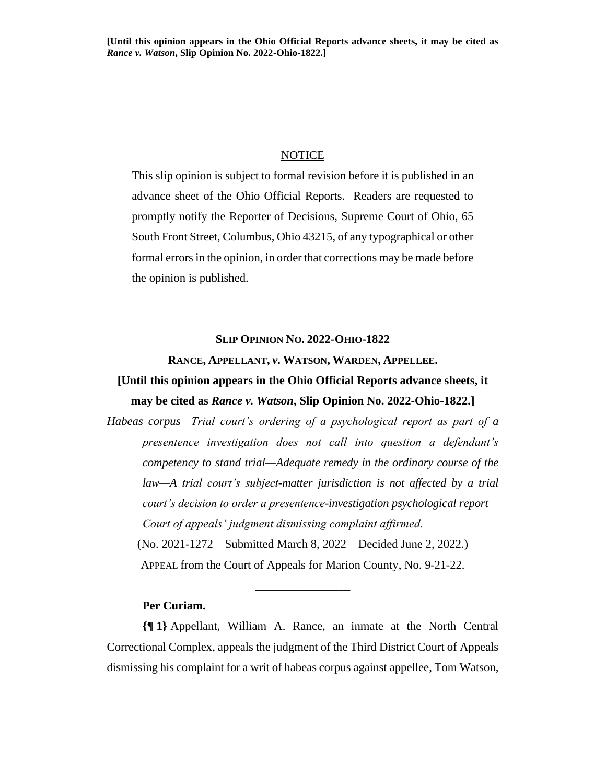# NOTICE

This slip opinion is subject to formal revision before it is published in an advance sheet of the Ohio Official Reports. Readers are requested to promptly notify the Reporter of Decisions, Supreme Court of Ohio, 65 South Front Street, Columbus, Ohio 43215, of any typographical or other formal errors in the opinion, in order that corrections may be made before the opinion is published.

#### **SLIP OPINION NO. 2022-OHIO-1822**

#### **RANCE, APPELLANT,** *v***. WATSON, WARDEN, APPELLEE.**

# **[Until this opinion appears in the Ohio Official Reports advance sheets, it may be cited as** *Rance v. Watson***, Slip Opinion No. 2022-Ohio-1822.]**

*Habeas corpus—Trial court's ordering of a psychological report as part of a presentence investigation does not call into question a defendant's competency to stand trial—Adequate remedy in the ordinary course of the law—A trial court's subject-matter jurisdiction is not affected by a trial court's decision to order a presentence-investigation psychological report— Court of appeals' judgment dismissing complaint affirmed.* (No. 2021-1272—Submitted March 8, 2022—Decided June 2, 2022.) APPEAL from the Court of Appeals for Marion County, No. 9-21-22.

# **Per Curiam.**

**{¶ 1}** Appellant, William A. Rance, an inmate at the North Central Correctional Complex, appeals the judgment of the Third District Court of Appeals dismissing his complaint for a writ of habeas corpus against appellee, Tom Watson,

\_\_\_\_\_\_\_\_\_\_\_\_\_\_\_\_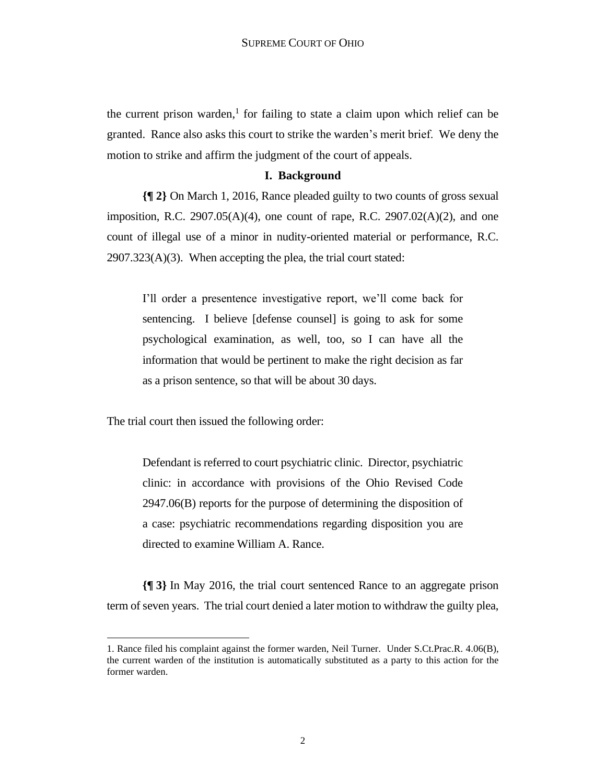the current prison warden,<sup>1</sup> for failing to state a claim upon which relief can be granted. Rance also asks this court to strike the warden's merit brief. We deny the motion to strike and affirm the judgment of the court of appeals.

#### **I. Background**

**{¶ 2}** On March 1, 2016, Rance pleaded guilty to two counts of gross sexual imposition, R.C. 2907.05(A)(4), one count of rape, R.C. 2907.02(A)(2), and one count of illegal use of a minor in nudity-oriented material or performance, R.C. 2907.323(A)(3). When accepting the plea, the trial court stated:

I'll order a presentence investigative report, we'll come back for sentencing. I believe [defense counsel] is going to ask for some psychological examination, as well, too, so I can have all the information that would be pertinent to make the right decision as far as a prison sentence, so that will be about 30 days.

The trial court then issued the following order:

Defendant is referred to court psychiatric clinic. Director, psychiatric clinic: in accordance with provisions of the Ohio Revised Code 2947.06(B) reports for the purpose of determining the disposition of a case: psychiatric recommendations regarding disposition you are directed to examine William A. Rance.

**{¶ 3}** In May 2016, the trial court sentenced Rance to an aggregate prison term of seven years. The trial court denied a later motion to withdraw the guilty plea,

<sup>1.</sup> Rance filed his complaint against the former warden, Neil Turner. Under S.Ct.Prac.R. 4.06(B), the current warden of the institution is automatically substituted as a party to this action for the former warden.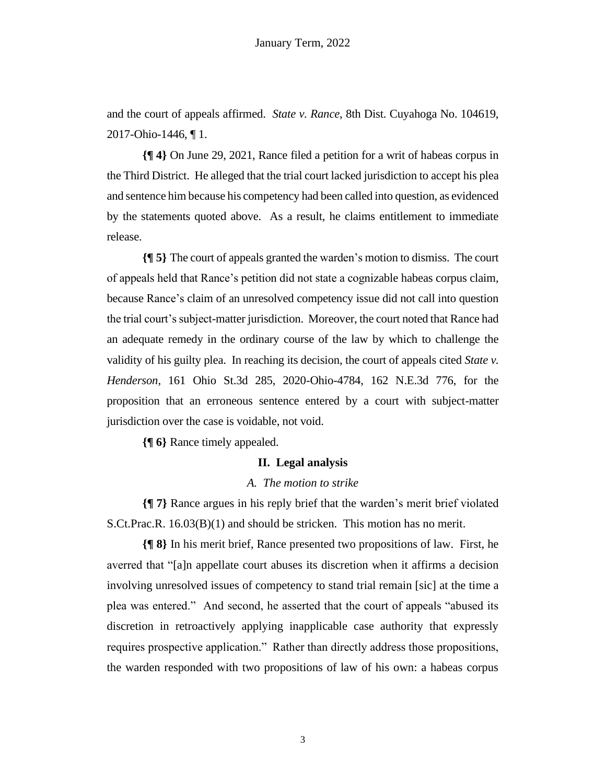and the court of appeals affirmed. *State v. Rance*, 8th Dist. Cuyahoga No. 104619, 2017-Ohio-1446, ¶ 1.

**{¶ 4}** On June 29, 2021, Rance filed a petition for a writ of habeas corpus in the Third District. He alleged that the trial court lacked jurisdiction to accept his plea and sentence him because his competency had been called into question, as evidenced by the statements quoted above. As a result, he claims entitlement to immediate release.

**{¶ 5}** The court of appeals granted the warden's motion to dismiss. The court of appeals held that Rance's petition did not state a cognizable habeas corpus claim, because Rance's claim of an unresolved competency issue did not call into question the trial court's subject-matter jurisdiction. Moreover, the court noted that Rance had an adequate remedy in the ordinary course of the law by which to challenge the validity of his guilty plea. In reaching its decision, the court of appeals cited *State v. Henderson,* 161 Ohio St.3d 285, 2020-Ohio-4784, 162 N.E.3d 776, for the proposition that an erroneous sentence entered by a court with subject-matter jurisdiction over the case is voidable, not void.

**{¶ 6}** Rance timely appealed.

#### **II. Legal analysis**

#### *A. The motion to strike*

**{¶ 7}** Rance argues in his reply brief that the warden's merit brief violated S.Ct.Prac.R. 16.03(B)(1) and should be stricken. This motion has no merit.

**{¶ 8}** In his merit brief, Rance presented two propositions of law. First, he averred that "[a]n appellate court abuses its discretion when it affirms a decision involving unresolved issues of competency to stand trial remain [sic] at the time a plea was entered." And second, he asserted that the court of appeals "abused its discretion in retroactively applying inapplicable case authority that expressly requires prospective application." Rather than directly address those propositions, the warden responded with two propositions of law of his own: a habeas corpus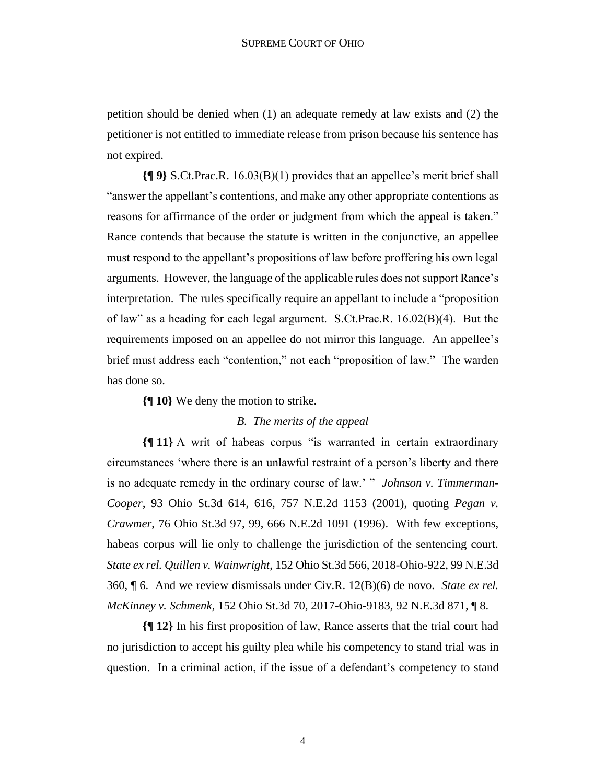petition should be denied when (1) an adequate remedy at law exists and (2) the petitioner is not entitled to immediate release from prison because his sentence has not expired.

**{¶ 9}** S.Ct.Prac.R. 16.03(B)(1) provides that an appellee's merit brief shall "answer the appellant's contentions, and make any other appropriate contentions as reasons for affirmance of the order or judgment from which the appeal is taken." Rance contends that because the statute is written in the conjunctive, an appellee must respond to the appellant's propositions of law before proffering his own legal arguments. However, the language of the applicable rules does not support Rance's interpretation. The rules specifically require an appellant to include a "proposition of law" as a heading for each legal argument. S.Ct.Prac.R. 16.02(B)(4). But the requirements imposed on an appellee do not mirror this language. An appellee's brief must address each "contention," not each "proposition of law." The warden has done so.

**{¶ 10}** We deny the motion to strike.

# *B. The merits of the appeal*

**{¶ 11}** A writ of habeas corpus "is warranted in certain extraordinary circumstances 'where there is an unlawful restraint of a person's liberty and there is no adequate remedy in the ordinary course of law.' " *Johnson v. Timmerman-Cooper*, 93 Ohio St.3d 614, 616, 757 N.E.2d 1153 (2001), quoting *Pegan v. Crawmer*, 76 Ohio St.3d 97, 99, 666 N.E.2d 1091 (1996). With few exceptions, habeas corpus will lie only to challenge the jurisdiction of the sentencing court. *State ex rel. Quillen v. Wainwright*, 152 Ohio St.3d 566, 2018-Ohio-922, 99 N.E.3d 360, ¶ 6. And we review dismissals under Civ.R. 12(B)(6) de novo. *State ex rel. McKinney v. Schmenk*, 152 Ohio St.3d 70, 2017-Ohio-9183, 92 N.E.3d 871, ¶ 8.

**{¶ 12}** In his first proposition of law, Rance asserts that the trial court had no jurisdiction to accept his guilty plea while his competency to stand trial was in question. In a criminal action, if the issue of a defendant's competency to stand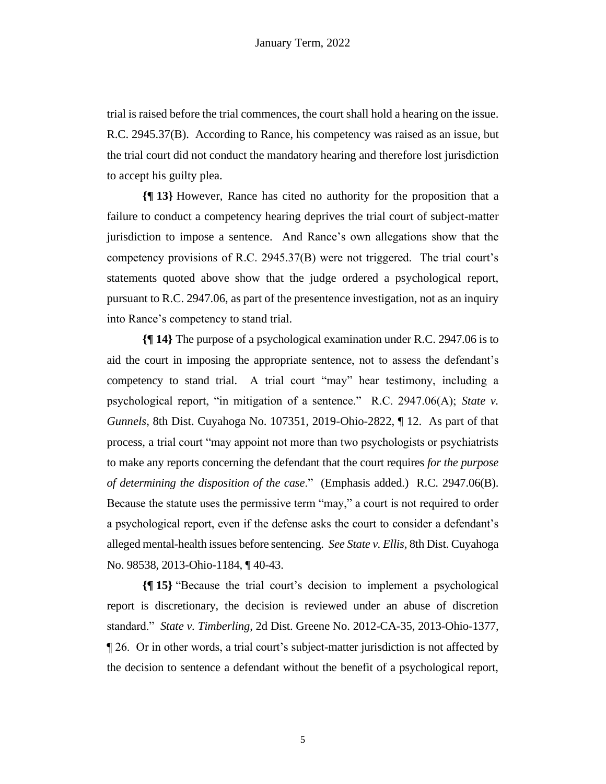trial is raised before the trial commences, the court shall hold a hearing on the issue. R.C. 2945.37(B). According to Rance, his competency was raised as an issue, but the trial court did not conduct the mandatory hearing and therefore lost jurisdiction to accept his guilty plea.

**{¶ 13}** However, Rance has cited no authority for the proposition that a failure to conduct a competency hearing deprives the trial court of subject-matter jurisdiction to impose a sentence. And Rance's own allegations show that the competency provisions of R.C. 2945.37(B) were not triggered. The trial court's statements quoted above show that the judge ordered a psychological report, pursuant to R.C. 2947.06, as part of the presentence investigation, not as an inquiry into Rance's competency to stand trial.

**{¶ 14}** The purpose of a psychological examination under R.C. 2947.06 is to aid the court in imposing the appropriate sentence, not to assess the defendant's competency to stand trial. A trial court "may" hear testimony, including a psychological report, "in mitigation of a sentence." R.C. 2947.06(A); *State v. Gunnels*, 8th Dist. Cuyahoga No. 107351, 2019-Ohio-2822, ¶ 12. As part of that process, a trial court "may appoint not more than two psychologists or psychiatrists to make any reports concerning the defendant that the court requires *for the purpose of determining the disposition of the case*." (Emphasis added.) R.C. 2947.06(B). Because the statute uses the permissive term "may," a court is not required to order a psychological report, even if the defense asks the court to consider a defendant's alleged mental-health issues before sentencing. *See State v. Ellis*, 8th Dist. Cuyahoga No. 98538, 2013-Ohio-1184, ¶ 40-43.

**{¶ 15}** "Because the trial court's decision to implement a psychological report is discretionary, the decision is reviewed under an abuse of discretion standard." *State v. Timberling*, 2d Dist. Greene No. 2012-CA-35, 2013-Ohio-1377, ¶ 26. Or in other words, a trial court's subject-matter jurisdiction is not affected by the decision to sentence a defendant without the benefit of a psychological report,